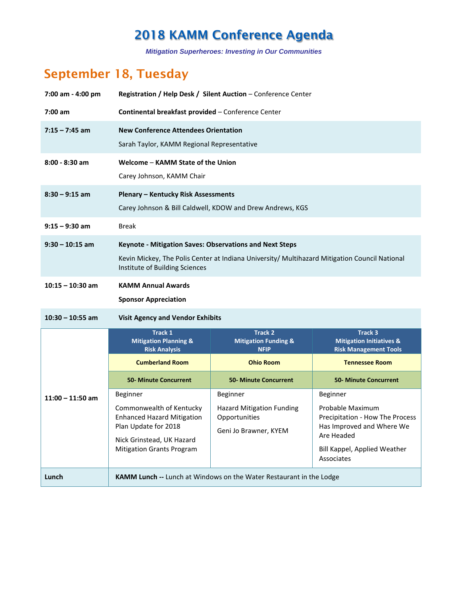*Mitigation Superheroes: Investing in Our Communities*

### **September 18, Tuesday**

| 7:00 am - 4:00 pm  | Registration / Help Desk / Silent Auction - Conference Center                                                                                                                                     |                                                                            |                                                                                                                                |  |
|--------------------|---------------------------------------------------------------------------------------------------------------------------------------------------------------------------------------------------|----------------------------------------------------------------------------|--------------------------------------------------------------------------------------------------------------------------------|--|
| $7:00$ am          | Continental breakfast provided - Conference Center                                                                                                                                                |                                                                            |                                                                                                                                |  |
| $7:15 - 7:45$ am   | <b>New Conference Attendees Orientation</b><br>Sarah Taylor, KAMM Regional Representative                                                                                                         |                                                                            |                                                                                                                                |  |
| $8:00 - 8:30$ am   | Welcome - KAMM State of the Union<br>Carey Johnson, KAMM Chair                                                                                                                                    |                                                                            |                                                                                                                                |  |
| $8:30 - 9:15$ am   | <b>Plenary - Kentucky Risk Assessments</b><br>Carey Johnson & Bill Caldwell, KDOW and Drew Andrews, KGS                                                                                           |                                                                            |                                                                                                                                |  |
| $9:15 - 9:30$ am   | <b>Break</b>                                                                                                                                                                                      |                                                                            |                                                                                                                                |  |
| $9:30 - 10:15$ am  | <b>Keynote - Mitigation Saves: Observations and Next Steps</b><br>Kevin Mickey, The Polis Center at Indiana University/ Multihazard Mitigation Council National<br>Institute of Building Sciences |                                                                            |                                                                                                                                |  |
| $10:15 - 10:30$ am | <b>KAMM Annual Awards</b><br><b>Sponsor Appreciation</b>                                                                                                                                          |                                                                            |                                                                                                                                |  |
| 10:30 - 10:55 am   | <b>Visit Agency and Vendor Exhibits</b>                                                                                                                                                           |                                                                            |                                                                                                                                |  |
|                    | Track 1<br><b>Mitigation Planning &amp;</b><br><b>Risk Analysis</b>                                                                                                                               | <b>Track 2</b><br><b>Mitigation Funding &amp;</b><br><b>NFIP</b>           | Track 3<br><b>Mitigation Initiatives &amp;</b><br><b>Risk Management Tools</b>                                                 |  |
|                    | <b>Cumberland Room</b>                                                                                                                                                                            | <b>Ohio Room</b>                                                           | <b>Tennessee Room</b>                                                                                                          |  |
|                    | <b>50- Minute Concurrent</b>                                                                                                                                                                      | <b>50- Minute Concurrent</b>                                               | <b>50- Minute Concurrent</b>                                                                                                   |  |
| $11:00 - 11:50$ am | Beginner                                                                                                                                                                                          | Beginner                                                                   | Beginner                                                                                                                       |  |
|                    | Commonwealth of Kentucky<br><b>Enhanced Hazard Mitigation</b><br>Plan Update for 2018<br>Nick Grinstead, UK Hazard<br><b>Mitigation Grants Program</b>                                            | <b>Hazard Mitigation Funding</b><br>Opportunities<br>Geni Jo Brawner, KYEM | Probable Maximum<br>Precipitation - How The Process<br>Has Improved and Where We<br>Are Headed<br>Bill Kappel, Applied Weather |  |
| Lunch              | Associates<br>KAMM Lunch -- Lunch at Windows on the Water Restaurant in the Lodge                                                                                                                 |                                                                            |                                                                                                                                |  |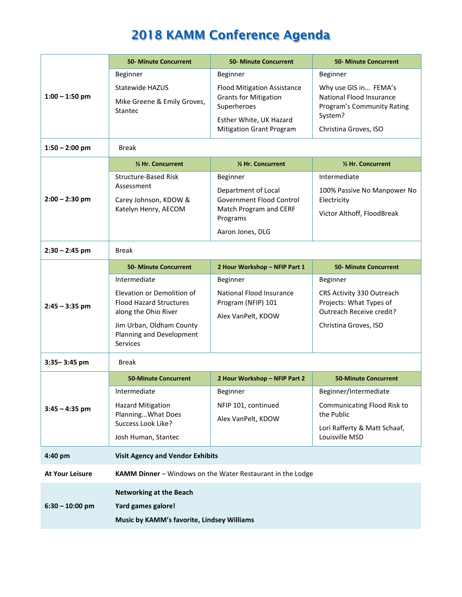|                        | <b>50- Minute Concurrent</b>                                                                | <b>50- Minute Concurrent</b>                                                      | <b>50- Minute Concurrent</b>                                                           |  |
|------------------------|---------------------------------------------------------------------------------------------|-----------------------------------------------------------------------------------|----------------------------------------------------------------------------------------|--|
|                        | Beginner                                                                                    | Beginner                                                                          | Beginner                                                                               |  |
| $1:00 - 1:50$ pm       | Statewide HAZUS<br>Mike Greene & Emily Groves,                                              | <b>Flood Mitigation Assistance</b><br><b>Grants for Mitigation</b><br>Superheroes | Why use GIS in FEMA's<br>National Flood Insurance<br><b>Program's Community Rating</b> |  |
|                        | <b>Stantec</b>                                                                              | Esther White, UK Hazard<br><b>Mitigation Grant Program</b>                        | System?<br>Christina Groves, ISO                                                       |  |
|                        |                                                                                             |                                                                                   |                                                                                        |  |
| $1:50 - 2:00$ pm       | <b>Break</b>                                                                                |                                                                                   |                                                                                        |  |
|                        | 1/2 Hr. Concurrent                                                                          | 1/2 Hr. Concurrent                                                                | 1/2 Hr. Concurrent                                                                     |  |
|                        | <b>Structure-Based Risk</b>                                                                 | Beginner                                                                          | Intermediate                                                                           |  |
| $2:00 - 2:30$ pm       | Assessment<br>Carey Johnson, KDOW &<br>Katelyn Henry, AECOM                                 | Department of Local<br>Government Flood Control<br>Match Program and CERF         | 100% Passive No Manpower No<br>Electricity                                             |  |
|                        |                                                                                             | Programs                                                                          | Victor Althoff, FloodBreak                                                             |  |
|                        |                                                                                             | Aaron Jones, DLG                                                                  |                                                                                        |  |
| $2:30 - 2:45$ pm       | <b>Break</b>                                                                                |                                                                                   |                                                                                        |  |
|                        | <b>50- Minute Concurrent</b>                                                                | 2 Hour Workshop - NFIP Part 1                                                     | <b>50- Minute Concurrent</b>                                                           |  |
|                        | Intermediate                                                                                | Beginner                                                                          | Beginner                                                                               |  |
| $2:45 - 3:35$ pm       | Elevation or Demolition of<br><b>Flood Hazard Structures</b><br>along the Ohio River        | National Flood Insurance<br>Program (NFIP) 101<br>Alex VanPelt, KDOW              | CRS Activity 330 Outreach<br>Projects: What Types of<br>Outreach Receive credit?       |  |
|                        | Jim Urban, Oldham County<br>Planning and Development<br><b>Services</b>                     |                                                                                   | Christina Groves, ISO                                                                  |  |
| 3:35-3:45 pm           | <b>Break</b>                                                                                |                                                                                   |                                                                                        |  |
|                        | <b>50-Minute Concurrent</b>                                                                 | 2 Hour Workshop - NFIP Part 2                                                     | <b>50-Minute Concurrent</b>                                                            |  |
|                        | Intermediate                                                                                | Beginner                                                                          | Beginner/Intermediate                                                                  |  |
| $3:45 - 4:35$ pm       | <b>Hazard Mitigation</b><br>NFIP 101, continued<br>Planning What Does<br>Alex VanPelt, KDOW | Communicating Flood Risk to<br>the Public                                         |                                                                                        |  |
|                        | Success Look Like?                                                                          |                                                                                   | Lori Rafferty & Matt Schaaf,                                                           |  |
|                        | Josh Human, Stantec                                                                         |                                                                                   | Louisville MSD                                                                         |  |
| 4:40 pm                | <b>Visit Agency and Vendor Exhibits</b>                                                     |                                                                                   |                                                                                        |  |
| <b>At Your Leisure</b> |                                                                                             | <b>KAMM Dinner - Windows on the Water Restaurant in the Lodge</b>                 |                                                                                        |  |
|                        | <b>Networking at the Beach</b>                                                              |                                                                                   |                                                                                        |  |
| $6:30 - 10:00$ pm      | Yard games galore!                                                                          |                                                                                   |                                                                                        |  |
|                        | Music by KAMM's favorite, Lindsey Williams                                                  |                                                                                   |                                                                                        |  |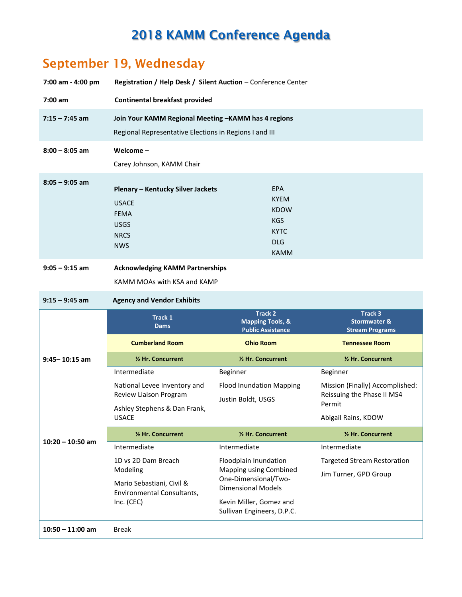#### **September 19, Wednesday**

| 7:00 am - 4:00 pm | <b>Registration / Help Desk / Silent Auction - Conference Center</b>                                          |                                                                                                    |  |
|-------------------|---------------------------------------------------------------------------------------------------------------|----------------------------------------------------------------------------------------------------|--|
| $7:00$ am         | <b>Continental breakfast provided</b>                                                                         |                                                                                                    |  |
| $7:15 - 7:45$ am  | Join Your KAMM Regional Meeting -KAMM has 4 regions<br>Regional Representative Elections in Regions I and III |                                                                                                    |  |
| $8:00 - 8:05$ am  | Welcome $-$<br>Carey Johnson, KAMM Chair                                                                      |                                                                                                    |  |
| $8:05 - 9:05$ am  | Plenary - Kentucky Silver Jackets<br><b>USACE</b><br><b>FEMA</b><br><b>USGS</b><br><b>NRCS</b><br><b>NWS</b>  | <b>EPA</b><br><b>KYEM</b><br><b>KDOW</b><br><b>KGS</b><br><b>KYTC</b><br><b>DLG</b><br><b>KAMM</b> |  |
| $9:05 - 9:15$ am  | <b>Acknowledging KAMM Partnerships</b><br>KAMM MOAs with KSA and KAMP                                         |                                                                                                    |  |

#### **9:15 – 9:45 am Agency and Vendor Exhibits**

|                    | <b>Track 1</b><br><b>Dams</b>                                                          | <b>Track 2</b><br><b>Mapping Tools, &amp;</b><br><b>Public Assistance</b>                              | Track 3<br><b>Stormwater &amp;</b><br><b>Stream Programs</b>            |
|--------------------|----------------------------------------------------------------------------------------|--------------------------------------------------------------------------------------------------------|-------------------------------------------------------------------------|
|                    | <b>Cumberland Room</b>                                                                 | <b>Ohio Room</b>                                                                                       | <b>Tennessee Room</b>                                                   |
| $9:45 - 10:15$ am  | 1/2 Hr. Concurrent                                                                     | 1/2 Hr. Concurrent                                                                                     | 1/2 Hr. Concurrent                                                      |
|                    | Intermediate                                                                           | Beginner                                                                                               | Beginner                                                                |
|                    | National Levee Inventory and<br>Review Liaison Program<br>Ashley Stephens & Dan Frank, | <b>Flood Inundation Mapping</b><br>Justin Boldt, USGS                                                  | Mission (Finally) Accomplished:<br>Reissuing the Phase II MS4<br>Permit |
|                    | <b>USACE</b>                                                                           |                                                                                                        | Abigail Rains, KDOW                                                     |
|                    | 1/2 Hr. Concurrent                                                                     | 1/2 Hr. Concurrent                                                                                     | 1/2 Hr. Concurrent                                                      |
| $10:20 - 10:50$ am | Intermediate                                                                           | Intermediate                                                                                           | Intermediate                                                            |
|                    | 1D vs 2D Dam Breach                                                                    | Floodplain Inundation                                                                                  | <b>Targeted Stream Restoration</b>                                      |
|                    | Modeling<br>Mario Sebastiani, Civil &<br>Environmental Consultants,<br>Inc. (CEC)      | Mapping using Combined<br>One-Dimensional/Two-<br><b>Dimensional Models</b><br>Kevin Miller, Gomez and | Jim Turner, GPD Group                                                   |
|                    |                                                                                        | Sullivan Engineers, D.P.C.                                                                             |                                                                         |
| $10:50 - 11:00$ am | <b>Break</b>                                                                           |                                                                                                        |                                                                         |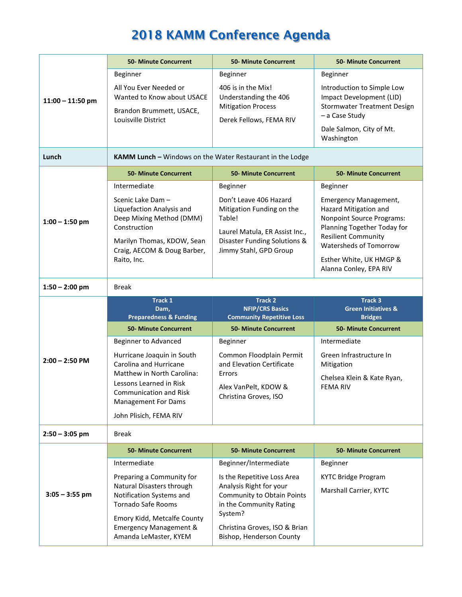| $11:00 - 11:50$ pm | <b>50- Minute Concurrent</b>                                                                                    | <b>50- Minute Concurrent</b>                                                                                               | <b>50- Minute Concurrent</b>                                                                                                                    |
|--------------------|-----------------------------------------------------------------------------------------------------------------|----------------------------------------------------------------------------------------------------------------------------|-------------------------------------------------------------------------------------------------------------------------------------------------|
|                    | Beginner<br>All You Ever Needed or<br>Wanted to Know about USACE<br>Brandon Brummett, USACE,                    | Beginner<br>406 is in the Mix!<br>Understanding the 406<br><b>Mitigation Process</b>                                       | Beginner<br>Introduction to Simple Low<br>Impact Development (LID)<br><b>Stormwater Treatment Design</b>                                        |
|                    | Louisville District                                                                                             | Derek Fellows, FEMA RIV                                                                                                    | - a Case Study<br>Dale Salmon, City of Mt.<br>Washington                                                                                        |
| Lunch              | KAMM Lunch - Windows on the Water Restaurant in the Lodge                                                       |                                                                                                                            |                                                                                                                                                 |
|                    | <b>50- Minute Concurrent</b>                                                                                    | <b>50- Minute Concurrent</b>                                                                                               | <b>50- Minute Concurrent</b>                                                                                                                    |
|                    | Intermediate                                                                                                    | Beginner                                                                                                                   | Beginner                                                                                                                                        |
| $1:00 - 1:50$ pm   | Scenic Lake Dam -<br>Liquefaction Analysis and<br>Deep Mixing Method (DMM)<br>Construction                      | Don't Leave 406 Hazard<br>Mitigation Funding on the<br>Table!<br>Laurel Matula, ER Assist Inc.,                            | Emergency Management,<br>Hazard Mitigation and<br><b>Nonpoint Source Programs:</b><br>Planning Together Today for<br><b>Resilient Community</b> |
|                    | Marilyn Thomas, KDOW, Sean<br>Craig, AECOM & Doug Barber,<br>Raito, Inc.                                        | Disaster Funding Solutions &<br>Jimmy Stahl, GPD Group                                                                     | Watersheds of Tomorrow<br>Esther White, UK HMGP &<br>Alanna Conley, EPA RIV                                                                     |
|                    |                                                                                                                 |                                                                                                                            |                                                                                                                                                 |
| $1:50 - 2:00$ pm   | Break                                                                                                           |                                                                                                                            |                                                                                                                                                 |
|                    |                                                                                                                 |                                                                                                                            |                                                                                                                                                 |
|                    | Track 1<br>Dam,                                                                                                 | <b>Track 2</b><br><b>NFIP/CRS Basics</b>                                                                                   | <b>Track 3</b><br><b>Green Initiatives &amp;</b>                                                                                                |
|                    | <b>Preparedness &amp; Funding</b>                                                                               | <b>Community Repetitive Loss</b>                                                                                           | <b>Bridges</b>                                                                                                                                  |
|                    | <b>50- Minute Concurrent</b>                                                                                    | <b>50- Minute Concurrent</b>                                                                                               | <b>50- Minute Concurrent</b>                                                                                                                    |
|                    | Beginner to Advanced                                                                                            | Beginner                                                                                                                   | Intermediate                                                                                                                                    |
| $2:00 - 2:50$ PM   | Hurricane Joaquin in South<br>Carolina and Hurricane                                                            | Common Floodplain Permit<br>and Elevation Certificate                                                                      | Green Infrastructure In<br>Mitigation                                                                                                           |
|                    | Matthew in North Carolina:                                                                                      | Errors                                                                                                                     | Chelsea Klein & Kate Ryan,                                                                                                                      |
|                    | Lessons Learned in Risk<br>Communication and Risk<br><b>Management For Dams</b>                                 | Alex VanPelt, KDOW &<br>Christina Groves, ISO                                                                              | <b>FEMA RIV</b>                                                                                                                                 |
|                    | John Plisich, FEMA RIV                                                                                          |                                                                                                                            |                                                                                                                                                 |
| $2:50 - 3:05$ pm   | <b>Break</b>                                                                                                    |                                                                                                                            |                                                                                                                                                 |
|                    | <b>50- Minute Concurrent</b>                                                                                    | <b>50- Minute Concurrent</b>                                                                                               | <b>50- Minute Concurrent</b>                                                                                                                    |
|                    | Intermediate                                                                                                    | Beginner/Intermediate                                                                                                      | Beginner                                                                                                                                        |
| $3:05 - 3:55$ pm   | Preparing a Community for<br>Natural Disasters through<br>Notification Systems and<br><b>Tornado Safe Rooms</b> | Is the Repetitive Loss Area<br>Analysis Right for your<br>Community to Obtain Points<br>in the Community Rating<br>System? | <b>KYTC Bridge Program</b><br>Marshall Carrier, KYTC                                                                                            |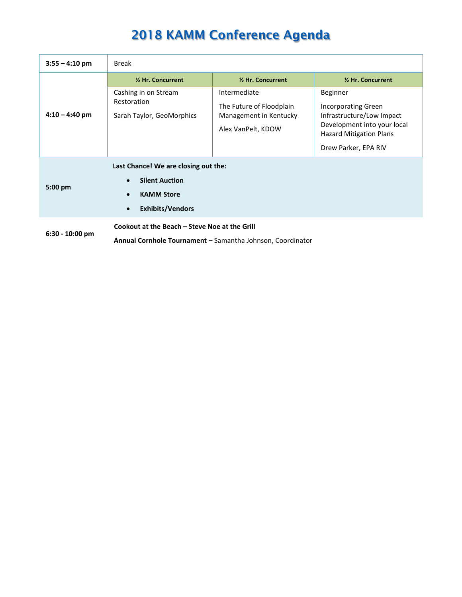| $3:55 - 4:10$ pm  | <b>Break</b>                                                                                                                                         |                                                                                          |                                                                                                                                                              |
|-------------------|------------------------------------------------------------------------------------------------------------------------------------------------------|------------------------------------------------------------------------------------------|--------------------------------------------------------------------------------------------------------------------------------------------------------------|
|                   | 1/2 Hr. Concurrent                                                                                                                                   | 1/2 Hr. Concurrent                                                                       | 1/2 Hr. Concurrent                                                                                                                                           |
| $4:10 - 4:40$ pm  | Cashing in on Stream<br>Restoration<br>Sarah Taylor, GeoMorphics                                                                                     | Intermediate<br>The Future of Floodplain<br>Management in Kentucky<br>Alex VanPelt, KDOW | Beginner<br><b>Incorporating Green</b><br>Infrastructure/Low Impact<br>Development into your local<br><b>Hazard Mitigation Plans</b><br>Drew Parker, EPA RIV |
| $5:00$ pm         | Last Chance! We are closing out the:<br><b>Silent Auction</b><br>$\bullet$<br><b>KAMM Store</b><br>$\bullet$<br><b>Exhibits/Vendors</b><br>$\bullet$ |                                                                                          |                                                                                                                                                              |
| $6:30 - 10:00$ pm | Cookout at the Beach - Steve Noe at the Grill<br>Annual Cornhole Tournament - Samantha Johnson, Coordinator                                          |                                                                                          |                                                                                                                                                              |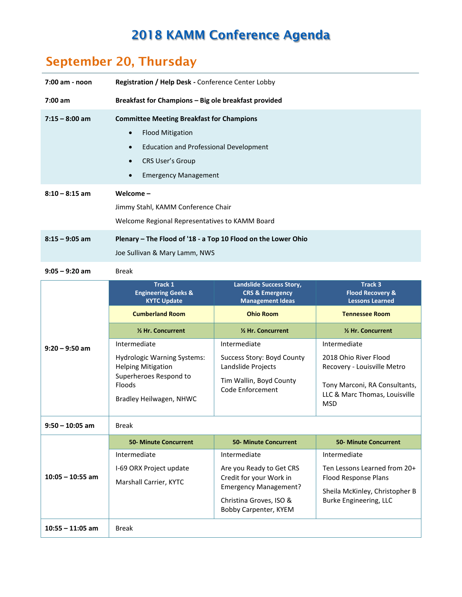## **September 20, Thursday**

| 7:00 am - noon     | Registration / Help Desk - Conference Center Lobby                                                                                                                                                                                         |                                                                                                                                                         |                                                                                                                                        |
|--------------------|--------------------------------------------------------------------------------------------------------------------------------------------------------------------------------------------------------------------------------------------|---------------------------------------------------------------------------------------------------------------------------------------------------------|----------------------------------------------------------------------------------------------------------------------------------------|
| $7:00$ am          | Breakfast for Champions - Big ole breakfast provided                                                                                                                                                                                       |                                                                                                                                                         |                                                                                                                                        |
| $7:15 - 8:00$ am   | <b>Committee Meeting Breakfast for Champions</b><br><b>Flood Mitigation</b><br>$\bullet$<br><b>Education and Professional Development</b><br>$\bullet$<br><b>CRS User's Group</b><br>$\bullet$<br><b>Emergency Management</b><br>$\bullet$ |                                                                                                                                                         |                                                                                                                                        |
| $8:10 - 8:15$ am   | Welcome $-$<br>Jimmy Stahl, KAMM Conference Chair<br>Welcome Regional Representatives to KAMM Board                                                                                                                                        |                                                                                                                                                         |                                                                                                                                        |
| $8:15 - 9:05$ am   | Plenary - The Flood of '18 - a Top 10 Flood on the Lower Ohio<br>Joe Sullivan & Mary Lamm, NWS                                                                                                                                             |                                                                                                                                                         |                                                                                                                                        |
| $9:05 - 9:20$ am   | <b>Break</b>                                                                                                                                                                                                                               |                                                                                                                                                         |                                                                                                                                        |
|                    | Track 1<br><b>Engineering Geeks &amp;</b><br><b>KYTC Update</b><br><b>Cumberland Room</b>                                                                                                                                                  | Landslide Success Story,<br><b>CRS &amp; Emergency</b><br><b>Management Ideas</b><br><b>Ohio Room</b>                                                   | Track 3<br><b>Flood Recovery &amp;</b><br><b>Lessons Learned</b><br><b>Tennessee Room</b>                                              |
|                    | 1/2 Hr. Concurrent                                                                                                                                                                                                                         | 1/2 Hr. Concurrent                                                                                                                                      | 1/2 Hr. Concurrent                                                                                                                     |
| $9:20 - 9:50$ am   | Intermediate<br><b>Hydrologic Warning Systems:</b><br><b>Helping Mitigation</b><br>Superheroes Respond to<br>Floods<br>Bradley Heilwagen, NHWC                                                                                             | Intermediate<br>Success Story: Boyd County<br>Landslide Projects<br>Tim Wallin, Boyd County<br><b>Code Enforcement</b>                                  | Intermediate<br>2018 Ohio River Flood<br>Recovery - Louisville Metro<br>Tony Marconi, RA Consultants,<br>LLC & Marc Thomas, Louisville |
|                    |                                                                                                                                                                                                                                            |                                                                                                                                                         | <b>MSD</b>                                                                                                                             |
| $9:50 - 10:05$ am  | <b>Break</b>                                                                                                                                                                                                                               |                                                                                                                                                         |                                                                                                                                        |
|                    | <b>50- Minute Concurrent</b>                                                                                                                                                                                                               | <b>50- Minute Concurrent</b>                                                                                                                            | <b>50- Minute Concurrent</b>                                                                                                           |
| $10:05 - 10:55$ am | Intermediate<br>I-69 ORX Project update<br>Marshall Carrier, KYTC                                                                                                                                                                          | Intermediate<br>Are you Ready to Get CRS<br>Credit for your Work in<br><b>Emergency Management?</b><br>Christina Groves, ISO &<br>Bobby Carpenter, KYEM | Intermediate<br>Ten Lessons Learned from 20+<br>Flood Response Plans<br>Sheila McKinley, Christopher B<br>Burke Engineering, LLC       |